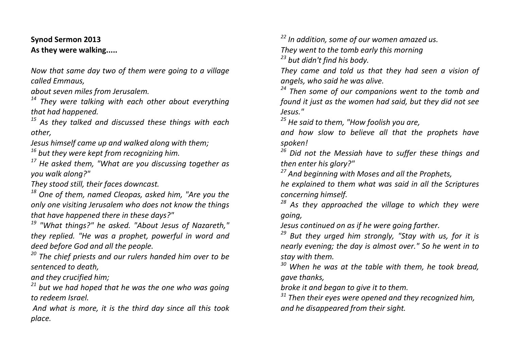## **Synod Sermon 2013 As they were walking.....**

*Now that same day two of them were going to a village called Emmaus,* 

*about seven miles from Jerusalem.*

*<sup>14</sup> They were talking with each other about everything that had happened.*

*<sup>15</sup> As they talked and discussed these things with each other,* 

*Jesus himself came up and walked along with them;*

*<sup>16</sup> but they were kept from recognizing him.*

*<sup>17</sup> He asked them, "What are you discussing together as you walk along?"* 

*They stood still, their faces downcast.*

*<sup>18</sup> One of them, named Cleopas, asked him, "Are you the only one visiting Jerusalem who does not know the things that have happened there in these days?"*

*<sup>19</sup> "What things?" he asked. "About Jesus of Nazareth," they replied. "He was a prophet, powerful in word and deed before God and all the people.*

*<sup>20</sup> The chief priests and our rulers handed him over to be sentenced to death,* 

*and they crucified him;*

*<sup>21</sup> but we had hoped that he was the one who was going to redeem Israel.*

*And what is more, it is the third day since all this took place.*

*<sup>22</sup> In addition, some of our women amazed us. They went to the tomb early this morning <sup>23</sup> but didn't find his body.* 

*They came and told us that they had seen a vision of angels, who said he was alive.*

*<sup>24</sup> Then some of our companions went to the tomb and found it just as the women had said, but they did not see Jesus."*

*<sup>25</sup> He said to them, "How foolish you are,* 

*and how slow to believe all that the prophets have spoken!*

*<sup>26</sup> Did not the Messiah have to suffer these things and then enter his glory?"*

*<sup>27</sup> And beginning with Moses and all the Prophets,* 

*he explained to them what was said in all the Scriptures concerning himself.*

*<sup>28</sup> As they approached the village to which they were going,* 

*Jesus continued on as if he were going farther.*

*<sup>29</sup> But they urged him strongly, "Stay with us, for it is nearly evening; the day is almost over." So he went in to stay with them.*

*<sup>30</sup> When he was at the table with them, he took bread, gave thanks,* 

*broke it and began to give it to them.*

*<sup>31</sup> Then their eyes were opened and they recognized him, and he disappeared from their sight.*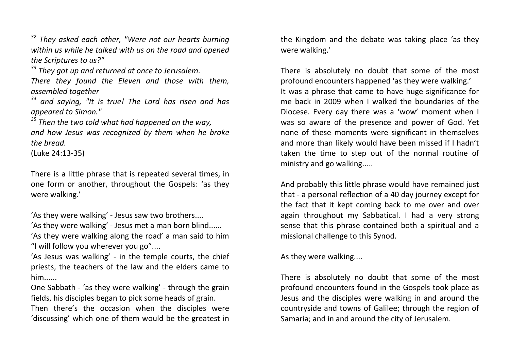*<sup>32</sup> They asked each other, "Were not our hearts burning within us while he talked with us on the road and opened the Scriptures to us?"*

*<sup>33</sup> They got up and returned at once to Jerusalem.* 

*There they found the Eleven and those with them, assembled together*

*<sup>34</sup> and saying, "It is true! The Lord has risen and has appeared to Simon."*

*<sup>35</sup> Then the two told what had happened on the way, and how Jesus was recognized by them when he broke the bread.* 

(Luke 24:13-35)

There is a little phrase that is repeated several times, in one form or another, throughout the Gospels: 'as they were walking.'

'As they were walking' - Jesus saw two brothers....

'As they were walking' - Jesus met a man born blind......

'As they were walking along the road' a man said to him "I will follow you wherever you go"....

'As Jesus was walking' - in the temple courts, the chief priests, the teachers of the law and the elders came to him......

One Sabbath - 'as they were walking' - through the grain fields, his disciples began to pick some heads of grain.

Then there's the occasion when the disciples were 'discussing' which one of them would be the greatest in the Kingdom and the debate was taking place 'as they were walking.'

There is absolutely no doubt that some of the most profound encounters happened 'as they were walking.' It was a phrase that came to have huge significance for me back in 2009 when I walked the boundaries of the Diocese. Every day there was a 'wow' moment when I was so aware of the presence and power of God. Yet none of these moments were significant in themselves and more than likely would have been missed if I hadn't taken the time to step out of the normal routine of ministry and go walking.....

And probably this little phrase would have remained just that - a personal reflection of a 40 day journey except for the fact that it kept coming back to me over and over again throughout my Sabbatical. I had a very strong sense that this phrase contained both a spiritual and a missional challenge to this Synod.

As they were walking....

There is absolutely no doubt that some of the most profound encounters found in the Gospels took place as Jesus and the disciples were walking in and around the countryside and towns of Galilee; through the region of Samaria; and in and around the city of Jerusalem.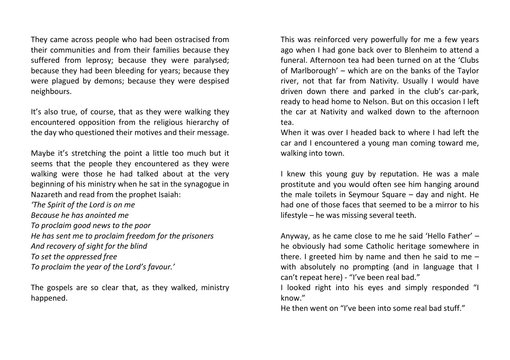They came across people who had been ostracised from their communities and from their families because they suffered from leprosy; because they were paralysed; because they had been bleeding for years; because they were plagued by demons; because they were despised neighbours.

It's also true, of course, that as they were walking they encountered opposition from the religious hierarchy of the day who questioned their motives and their message.

Maybe it's stretching the point a little too much but it seems that the people they encountered as they were walking were those he had talked about at the very beginning of his ministry when he sat in the synagogue in Nazareth and read from the prophet Isaiah:

*'The Spirit of the Lord is on me Because he has anointed me To proclaim good news to the poor He has sent me to proclaim freedom for the prisoners And recovery of sight for the blind To set the oppressed free To proclaim the year of the Lord's favour.'*

The gospels are so clear that, as they walked, ministry happened.

This was reinforced very powerfully for me a few years ago when I had gone back over to Blenheim to attend a funeral. Afternoon tea had been turned on at the 'Clubs of Marlborough' – which are on the banks of the Taylor river, not that far from Nativity. Usually I would have driven down there and parked in the club's car-park, ready to head home to Nelson. But on this occasion I left the car at Nativity and walked down to the afternoon tea.

When it was over I headed back to where I had left the car and I encountered a young man coming toward me, walking into town.

I knew this young guy by reputation. He was a male prostitute and you would often see him hanging around the male toilets in Seymour Square – day and night. He had one of those faces that seemed to be a mirror to his lifestyle – he was missing several teeth.

Anyway, as he came close to me he said 'Hello Father' – he obviously had some Catholic heritage somewhere in there. I greeted him by name and then he said to me – with absolutely no prompting (and in language that I can't repeat here) - "I've been real bad."

I looked right into his eyes and simply responded "I know."

He then went on "I've been into some real bad stuff."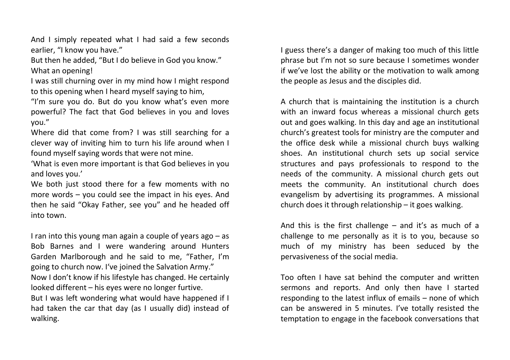And I simply repeated what I had said a few seconds earlier, "I know you have."

But then he added, "But I do believe in God you know." What an opening!

I was still churning over in my mind how I might respond to this opening when I heard myself saying to him,

"I'm sure you do. But do you know what's even more powerful? The fact that God believes in you and loves you."

Where did that come from? I was still searching for a clever way of inviting him to turn his life around when I found myself saying words that were not mine.

'What is even more important is that God believes in you and loves you.'

We both just stood there for a few moments with no more words – you could see the impact in his eyes. And then he said "Okay Father, see you" and he headed off into town.

I ran into this young man again a couple of years ago – as Bob Barnes and I were wandering around Hunters Garden Marlborough and he said to me, "Father, I'm going to church now. I've joined the Salvation Army." Now I don't know if his lifestyle has changed. He certainly looked different – his eyes were no longer furtive. But I was left wondering what would have happened if I had taken the car that day (as I usually did) instead of walking.

I guess there's a danger of making too much of this little phrase but I'm not so sure because I sometimes wonder if we've lost the ability or the motivation to walk among the people as Jesus and the disciples did.

A church that is maintaining the institution is a church with an inward focus whereas a missional church gets out and goes walking. In this day and age an institutional church's greatest tools for ministry are the computer and the office desk while a missional church buys walking shoes. An institutional church sets up social service structures and pays professionals to respond to the needs of the community. A missional church gets out meets the community. An institutional church does evangelism by advertising its programmes. A missional church does it through relationship – it goes walking.

And this is the first challenge  $-$  and it's as much of a challenge to me personally as it is to you, because so much of my ministry has been seduced by the pervasiveness of the social media.

Too often I have sat behind the computer and written sermons and reports. And only then have I started responding to the latest influx of emails – none of which can be answered in 5 minutes. I've totally resisted the temptation to engage in the facebook conversations that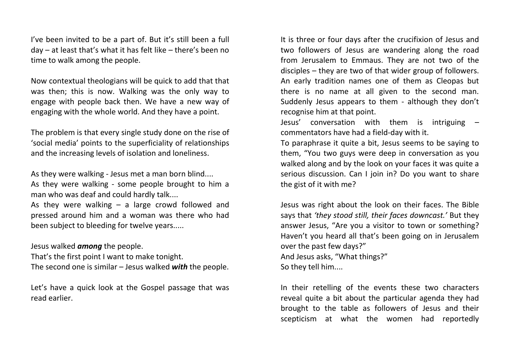I've been invited to be a part of. But it's still been a full day – at least that's what it has felt like – there's been no time to walk among the people.

Now contextual theologians will be quick to add that that was then; this is now. Walking was the only way to engage with people back then. We have a new way of engaging with the whole world. And they have a point.

The problem is that every single study done on the rise of 'social media' points to the superficiality of relationships and the increasing levels of isolation and loneliness.

As they were walking - Jesus met a man born blind.... As they were walking - some people brought to him a man who was deaf and could hardly talk....

As they were walking  $-$  a large crowd followed and pressed around him and a woman was there who had been subject to bleeding for twelve years.....

Jesus walked *among* the people.

That's the first point I want to make tonight.

The second one is similar – Jesus walked *with* the people.

Let's have a quick look at the Gospel passage that was read earlier.

It is three or four days after the crucifixion of Jesus and two followers of Jesus are wandering along the road from Jerusalem to Emmaus. They are not two of the disciples – they are two of that wider group of followers. An early tradition names one of them as Cleopas but there is no name at all given to the second man. Suddenly Jesus appears to them - although they don't recognise him at that point.

Jesus' conversation with them is intriguing – commentators have had a field-day with it.

To paraphrase it quite a bit, Jesus seems to be saying to them, "You two guys were deep in conversation as you walked along and by the look on your faces it was quite a serious discussion. Can I join in? Do you want to share the gist of it with me?

Jesus was right about the look on their faces. The Bible says that *'they stood still, their faces downcast.'* But they answer Jesus, "Are you a visitor to town or something? Haven't you heard all that's been going on in Jerusalem over the past few days?" And Jesus asks, "What things?" So they tell him....

In their retelling of the events these two characters reveal quite a bit about the particular agenda they had brought to the table as followers of Jesus and their scepticism at what the women had reportedly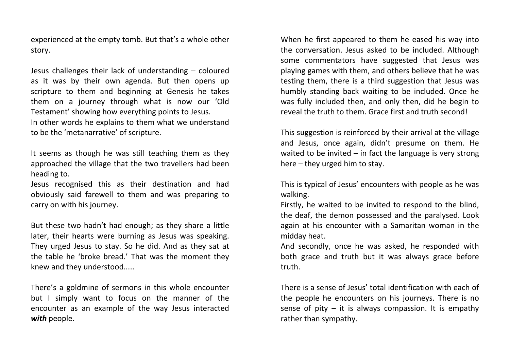experienced at the empty tomb. But that's a whole other story.

Jesus challenges their lack of understanding – coloured as it was by their own agenda. But then opens up scripture to them and beginning at Genesis he takes them on a journey through what is now our 'Old Testament' showing how everything points to Jesus. In other words he explains to them what we understand to be the 'metanarrative' of scripture.

It seems as though he was still teaching them as they approached the village that the two travellers had been heading to.

Jesus recognised this as their destination and had obviously said farewell to them and was preparing to carry on with his journey.

But these two hadn't had enough; as they share a little later, their hearts were burning as Jesus was speaking. They urged Jesus to stay. So he did. And as they sat at the table he 'broke bread.' That was the moment they knew and they understood.....

There's a goldmine of sermons in this whole encounter but I simply want to focus on the manner of the encounter as an example of the way Jesus interacted *with* people.

When he first appeared to them he eased his way into the conversation. Jesus asked to be included. Although some commentators have suggested that Jesus was playing games with them, and others believe that he was testing them, there is a third suggestion that Jesus was humbly standing back waiting to be included. Once he was fully included then, and only then, did he begin to reveal the truth to them. Grace first and truth second!

This suggestion is reinforced by their arrival at the village and Jesus, once again, didn't presume on them. He waited to be invited  $-$  in fact the language is very strong here – they urged him to stay.

This is typical of Jesus' encounters with people as he was walking.

Firstly, he waited to be invited to respond to the blind, the deaf, the demon possessed and the paralysed. Look again at his encounter with a Samaritan woman in the midday heat.

And secondly, once he was asked, he responded with both grace and truth but it was always grace before truth.

There is a sense of Jesus' total identification with each of the people he encounters on his journeys. There is no sense of pity  $-$  it is always compassion. It is empathy rather than sympathy.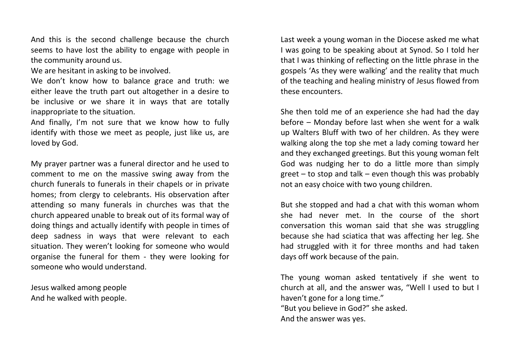And this is the second challenge because the church seems to have lost the ability to engage with people in the community around us.

We are hesitant in asking to be involved.

We don't know how to balance grace and truth: we either leave the truth part out altogether in a desire to be inclusive or we share it in ways that are totally inappropriate to the situation.

And finally, I'm not sure that we know how to fully identify with those we meet as people, just like us, are loved by God.

My prayer partner was a funeral director and he used to comment to me on the massive swing away from the church funerals to funerals in their chapels or in private homes; from clergy to celebrants. His observation after attending so many funerals in churches was that the church appeared unable to break out of its formal way of doing things and actually identify with people in times of deep sadness in ways that were relevant to each situation. They weren't looking for someone who would organise the funeral for them - they were looking for someone who would understand.

Jesus walked among people And he walked with people.

Last week a young woman in the Diocese asked me what I was going to be speaking about at Synod. So I told her that I was thinking of reflecting on the little phrase in the gospels 'As they were walking' and the reality that much of the teaching and healing ministry of Jesus flowed from these encounters.

She then told me of an experience she had had the day before – Monday before last when she went for a walk up Walters Bluff with two of her children. As they were walking along the top she met a lady coming toward her and they exchanged greetings. But this young woman felt God was nudging her to do a little more than simply greet – to stop and talk – even though this was probably not an easy choice with two young children.

But she stopped and had a chat with this woman whom she had never met. In the course of the short conversation this woman said that she was struggling because she had sciatica that was affecting her leg. She had struggled with it for three months and had taken days off work because of the pain.

The young woman asked tentatively if she went to church at all, and the answer was, "Well I used to but I haven't gone for a long time." "But you believe in God?" she asked. And the answer was yes.